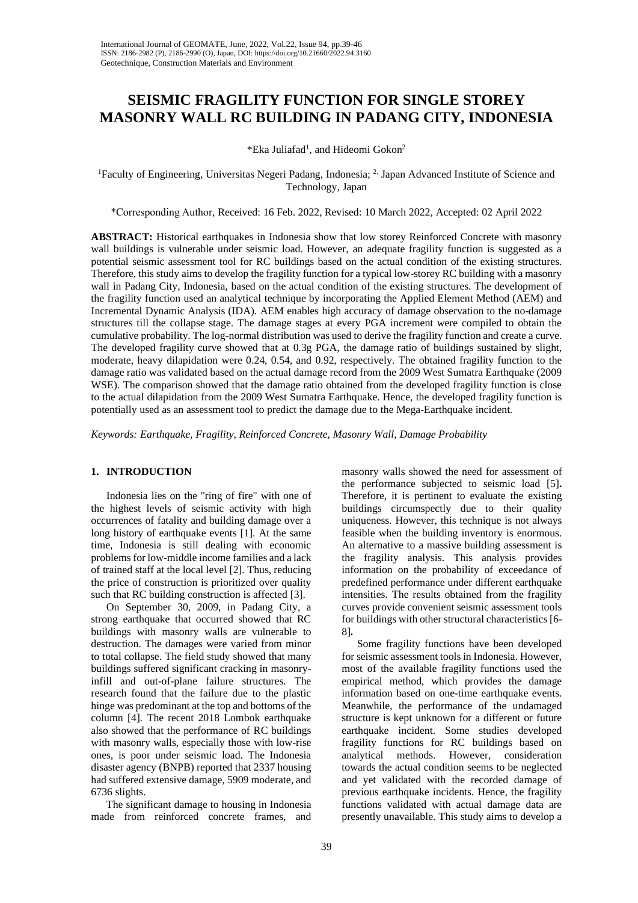# **SEISMIC FRAGILITY FUNCTION FOR SINGLE STOREY MASONRY WALL RC BUILDING IN PADANG CITY, INDONESIA**

\*Eka Juliafad<sup>1</sup>, and Hideomi Gokon<sup>2</sup>

<sup>1</sup>Faculty of Engineering, Universitas Negeri Padang, Indonesia; <sup>2,</sup> Japan Advanced Institute of Science and Technology, Japan

\*Corresponding Author, Received: 16 Feb. 2022, Revised: 10 March 2022, Accepted: 02 April 2022

**ABSTRACT:** Historical earthquakes in Indonesia show that low storey Reinforced Concrete with masonry wall buildings is vulnerable under seismic load. However, an adequate fragility function is suggested as a potential seismic assessment tool for RC buildings based on the actual condition of the existing structures. Therefore, this study aims to develop the fragility function for a typical low-storey RC building with a masonry wall in Padang City, Indonesia, based on the actual condition of the existing structures. The development of the fragility function used an analytical technique by incorporating the Applied Element Method (AEM) and Incremental Dynamic Analysis (IDA). AEM enables high accuracy of damage observation to the no-damage structures till the collapse stage. The damage stages at every PGA increment were compiled to obtain the cumulative probability. The log-normal distribution was used to derive the fragility function and create a curve. The developed fragility curve showed that at 0.3g PGA, the damage ratio of buildings sustained by slight, moderate, heavy dilapidation were 0.24, 0.54, and 0.92, respectively. The obtained fragility function to the damage ratio was validated based on the actual damage record from the 2009 West Sumatra Earthquake (2009 WSE). The comparison showed that the damage ratio obtained from the developed fragility function is close to the actual dilapidation from the 2009 West Sumatra Earthquake. Hence, the developed fragility function is potentially used as an assessment tool to predict the damage due to the Mega-Earthquake incident.

*Keywords: Earthquake, Fragility, Reinforced Concrete, Masonry Wall, Damage Probability*

#### **1. INTRODUCTION**

Indonesia lies on the "ring of fire" with one of the highest levels of seismic activity with high occurrences of fatality and building damage over a long history of earthquake events [1]. At the same time, Indonesia is still dealing with economic problems for low-middle income families and a lack of trained staff at the local level [2]. Thus, reducing the price of construction is prioritized over quality such that RC building construction is affected [3].

On September 30, 2009, in Padang City, a strong earthquake that occurred showed that RC buildings with masonry walls are vulnerable to destruction. The damages were varied from minor to total collapse. The field study showed that many buildings suffered significant cracking in masonryinfill and out-of-plane failure structures. The research found that the failure due to the plastic hinge was predominant at the top and bottoms of the column [4]. The recent 2018 Lombok earthquake also showed that the performance of RC buildings with masonry walls, especially those with low-rise ones, is poor under seismic load. The Indonesia disaster agency (BNPB) reported that 2337 housing had suffered extensive damage, 5909 moderate, and 6736 slights.

The significant damage to housing in Indonesia made from reinforced concrete frames, and

masonry walls showed the need for assessment of the performance subjected to seismic load [5]**.** Therefore, it is pertinent to evaluate the existing buildings circumspectly due to their quality uniqueness. However, this technique is not always feasible when the building inventory is enormous. An alternative to a massive building assessment is the fragility analysis. This analysis provides information on the probability of exceedance of predefined performance under different earthquake intensities. The results obtained from the fragility curves provide convenient seismic assessment tools for buildings with other structural characteristics [6- 8]*.*

Some fragility functions have been developed for seismic assessment tools in Indonesia. However, most of the available fragility functions used the empirical method, which provides the damage information based on one-time earthquake events. Meanwhile, the performance of the undamaged structure is kept unknown for a different or future earthquake incident. Some studies developed fragility functions for RC buildings based on analytical methods. However, consideration towards the actual condition seems to be neglected and yet validated with the recorded damage of previous earthquake incidents. Hence, the fragility functions validated with actual damage data are presently unavailable. This study aims to develop a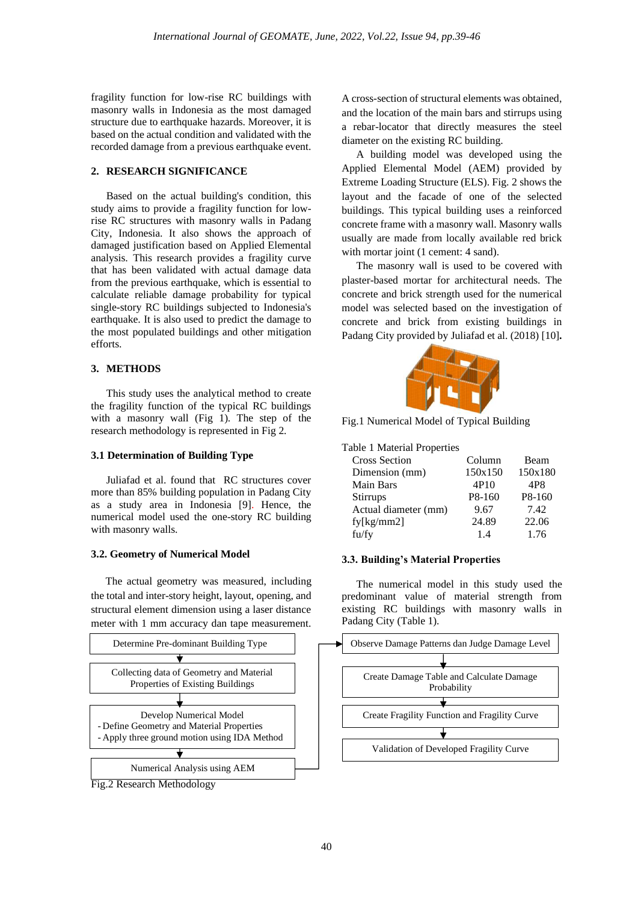fragility function for low-rise RC buildings with masonry walls in Indonesia as the most damaged structure due to earthquake hazards. Moreover, it is based on the actual condition and validated with the recorded damage from a previous earthquake event.

## **2. RESEARCH SIGNIFICANCE**

Based on the actual building's condition, this study aims to provide a fragility function for lowrise RC structures with masonry walls in Padang City, Indonesia. It also shows the approach of damaged justification based on Applied Elemental analysis. This research provides a fragility curve that has been validated with actual damage data from the previous earthquake, which is essential to calculate reliable damage probability for typical single-story RC buildings subjected to Indonesia's earthquake. It is also used to predict the damage to the most populated buildings and other mitigation efforts.

## **3. METHODS**

This study uses the analytical method to create the fragility function of the typical RC buildings with a masonry wall (Fig 1). The step of the research methodology is represented in Fig 2.

#### **3.1 Determination of Building Type**

Juliafad et al. found that RC structures cover more than 85% building population in Padang City as a study area in Indonesia [9]. Hence, the numerical model used the one-story RC building with masonry walls.

## **3.2. Geometry of Numerical Model**

The actual geometry was measured, including the total and inter-story height, layout, opening, and structural element dimension using a laser distance meter with 1 mm accuracy dan tape measurement.



A cross-section of structural elements was obtained, and the location of the main bars and stirrups using a rebar-locator that directly measures the steel diameter on the existing RC building.

A building model was developed using the Applied Elemental Model (AEM) provided by Extreme Loading Structure (ELS). Fig. 2 shows the layout and the facade of one of the selected buildings. This typical building uses a reinforced concrete frame with a masonry wall. Masonry walls usually are made from locally available red brick with mortar joint (1 cement: 4 sand).

The masonry wall is used to be covered with plaster-based mortar for architectural needs. The concrete and brick strength used for the numerical model was selected based on the investigation of concrete and brick from existing buildings in Padang City provided by Juliafad et al. (2018) [10]**.**



Fig.1 Numerical Model of Typical Building

## Table 1 Material Properties

| <b>Cross Section</b> | Column  | Beam            |
|----------------------|---------|-----------------|
| Dimension (mm)       | 150x150 | 150x180         |
| Main Bars            | 4P10    | 4P <sub>8</sub> |
| Stirrups             | P8-160  | P8-160          |
| Actual diameter (mm) | 9.67    | 7.42            |
| fy[kg/mm2]           | 24.89   | 22.06           |
| fu/fy                | 14      | 1.76            |
|                      |         |                 |

## **3.3. Building's Material Properties**

The numerical model in this study used the predominant value of material strength from existing RC buildings with masonry walls in Padang City (Table 1).

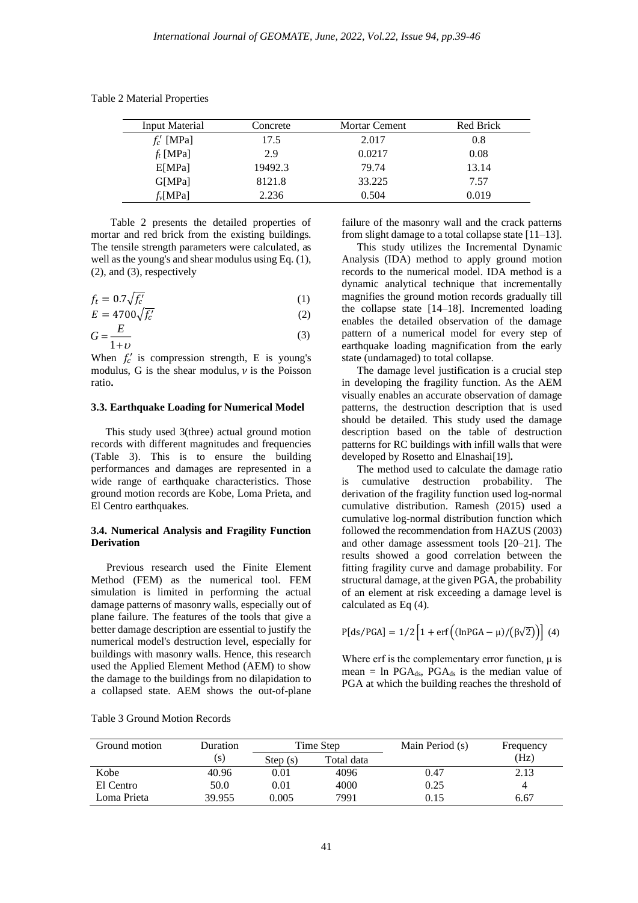| Input Material  | Concrete | <b>Mortar Cement</b> | Red Brick |
|-----------------|----------|----------------------|-----------|
| $f'_c$ [MPa]    | 17.5     | 2.017                | 0.8       |
| $f_t$ [MPa]     | 2.9      | 0.0217               | 0.08      |
| E[MPa]          | 19492.3  | 79.74                | 13.14     |
| <b>G</b> [MPa]  | 8121.8   | 33.225               | 7.57      |
| $f_{\nu}$ [MPa] | 2.236    | 0.504                | 0.019     |

Table 2 Material Properties

Table 2 presents the detailed properties of mortar and red brick from the existing buildings. The tensile strength parameters were calculated, as well as the young's and shear modulus using Eq. (1), (2), and (3), respectively

$$
f_t = 0.7\sqrt{f_c'}\tag{1}
$$

$$
E = 4700 \sqrt{f_c'} \tag{2}
$$

$$
G = \frac{E}{1+v} \tag{3}
$$

When  $f'_c$  is compression strength, E is young's modulus, G is the shear modulus,  $\nu$  is the Poisson ratio**.**

### **3.3. Earthquake Loading for Numerical Model**

This study used 3(three) actual ground motion records with different magnitudes and frequencies (Table 3). This is to ensure the building performances and damages are represented in a wide range of earthquake characteristics. Those ground motion records are Kobe, Loma Prieta, and El Centro earthquakes.

#### **3.4. Numerical Analysis and Fragility Function Derivation**

Previous research used the Finite Element Method (FEM) as the numerical tool. FEM simulation is limited in performing the actual damage patterns of masonry walls, especially out of plane failure. The features of the tools that give a better damage description are essential to justify the numerical model's destruction level, especially for buildings with masonry walls. Hence, this research used the Applied Element Method (AEM) to show the damage to the buildings from no dilapidation to a collapsed state. AEM shows the out-of-plane failure of the masonry wall and the crack patterns from slight damage to a total collapse state [11–13].

This study utilizes the Incremental Dynamic Analysis (IDA) method to apply ground motion records to the numerical model. IDA method is a dynamic analytical technique that incrementally magnifies the ground motion records gradually till the collapse state [14–18]. Incremented loading enables the detailed observation of the damage pattern of a numerical model for every step of earthquake loading magnification from the early state (undamaged) to total collapse.

The damage level justification is a crucial step in developing the fragility function. As the AEM visually enables an accurate observation of damage patterns, the destruction description that is used should be detailed. This study used the damage description based on the table of destruction patterns for RC buildings with infill walls that were developed by Rosetto and Elnashai[19]**.**

The method used to calculate the damage ratio is cumulative destruction probability. The derivation of the fragility function used log-normal cumulative distribution. Ramesh (2015) used a cumulative log-normal distribution function which followed the recommendation from HAZUS (2003) and other damage assessment tools [20–21]. The results showed a good correlation between the fitting fragility curve and damage probability. For structural damage, at the given PGA, the probability of an element at risk exceeding a damage level is calculated as Eq (4).

$$
P[ds/PGA] = 1/2 \left[ 1 + erf \left( (\ln PGA - \mu) / (\beta \sqrt{2}) \right) \right] (4)
$$

Where erf is the complementary error function,  $\mu$  is mean = ln PGA $_{ds}$ , PGA $_{ds}$  is the median value of PGA at which the building reaches the threshold of

| Ground motion | Duration           |                       | Time Step | Main Period (s) | Frequency |
|---------------|--------------------|-----------------------|-----------|-----------------|-----------|
|               | $\left( s \right)$ | Total data<br>Step(s) |           |                 | (Hz)      |
| Kobe          | 40.96              | 0.01                  | 4096      | 0.47            | 2.13      |
| El Centro     | 50.0               | 0.01                  | 4000      | 0.25            |           |
| Loma Prieta   | 39.955             | 0.005                 | 7991      | 0.15            | 6.67      |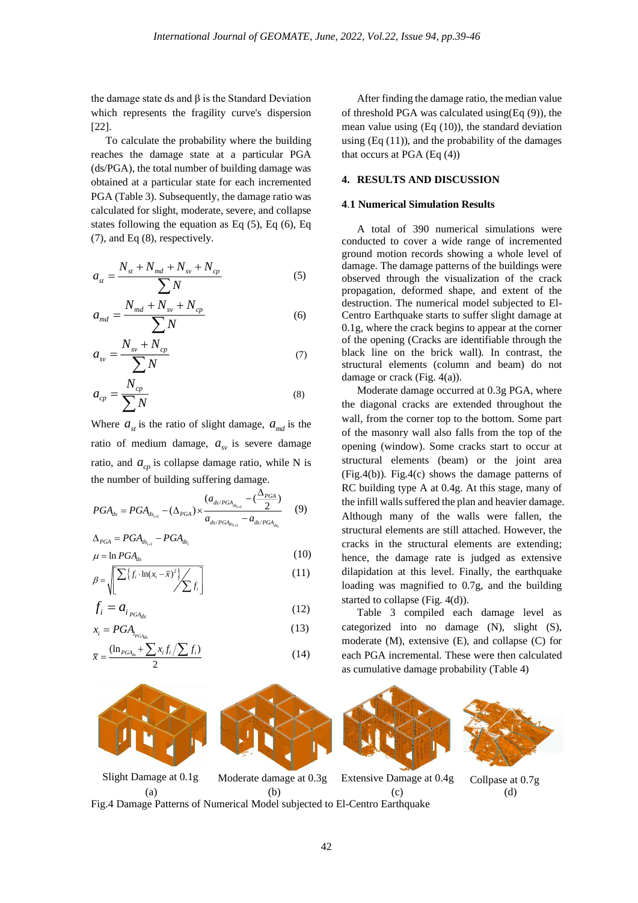the damage state ds and  $β$  is the Standard Deviation which represents the fragility curve's dispersion [22].

To calculate the probability where the building reaches the damage state at a particular PGA (ds/PGA), the total number of building damage was obtained at a particular state for each incremented PGA (Table 3). Subsequently, the damage ratio was calculated for slight, moderate, severe, and collapse states following the equation as Eq (5), Eq (6), Eq (7), and Eq (8), respectively.

$$
a_{st} = \frac{N_{st} + N_{md} + N_{sv} + N_{cp}}{\sum N}
$$
 (5)

$$
a_{md} = \frac{N_{md} + N_{sv} + N_{cp}}{\sum N}
$$
 (6)

$$
a_{\rm sv} = \frac{N_{\rm sv} + N_{\rm cp}}{\sum N} \tag{7}
$$

$$
a_{cp} = \frac{N_{cp}}{\sum N}
$$
 (8)

Where  $a_{st}$  is the ratio of slight damage,  $a_{md}$  is the ratio of medium damage,  $a_{\mu}$  is severe damage ratio, and  $a_{cp}$  is collapse damage ratio, while N is the number of building suffering damage.

$$
PGA_{ds} = PGA_{ds_{i+1}} - (\Delta_{PGA}) \times \frac{(a_{ds/PGA_{ds_{i+1}}} - (\frac{\Delta_{PGA}}{2})}{a_{ds/PGA_{ds_{i+1}}} - a_{ds/PGA_{ds_{i}}}}
$$
(9)

$$
\Delta_{PGA} = PGA_{ds_{i+1}} - PGA_{ds_i}
$$
  

$$
\mu = \ln PGA_{ds}
$$
 (10)

$$
\beta = \sqrt{\frac{\sum \{f_i \cdot \ln(x_i - \overline{x})^2\}}{\sum f_i}}
$$
\n(11)

$$
f_i = a_{i_{PGA_{ds}}}
$$
\n
$$
x_i = PGA
$$
\n(12)\n(13)

$$
\overline{x} = \frac{(\ln_{PGA_{ds}} + \sum_{i} x_i f_i / \sum_{i} f_i)}{2}
$$
\n(14)

After finding the damage ratio, the median value of threshold PGA was calculated using(Eq (9)), the mean value using (Eq (10)), the standard deviation using  $(Eq(11))$ , and the probability of the damages that occurs at PGA (Eq (4))

#### **4. RESULTS AND DISCUSSION**

### **4**.**1 Numerical Simulation Results**

A total of 390 numerical simulations were conducted to cover a wide range of incremented ground motion records showing a whole level of damage. The damage patterns of the buildings were observed through the visualization of the crack propagation, deformed shape, and extent of the destruction. The numerical model subjected to El-Centro Earthquake starts to suffer slight damage at 0.1g, where the crack begins to appear at the corner of the opening (Cracks are identifiable through the black line on the brick wall). In contrast, the structural elements (column and beam) do not damage or crack (Fig. 4(a)).

Moderate damage occurred at 0.3g PGA, where the diagonal cracks are extended throughout the wall, from the corner top to the bottom. Some part of the masonry wall also falls from the top of the opening (window). Some cracks start to occur at structural elements (beam) or the joint area (Fig.4(b)). Fig.4(c) shows the damage patterns of RC building type A at 0.4g. At this stage, many of the infill walls suffered the plan and heavier damage. Although many of the walls were fallen, the structural elements are still attached. However, the cracks in the structural elements are extending; hence, the damage rate is judged as extensive dilapidation at this level. Finally, the earthquake loading was magnified to 0.7g, and the building started to collapse (Fig. 4(d)).

Table 3 compiled each damage level as categorized into no damage (N), slight (S), moderate (M), extensive (E), and collapse (C) for each PGA incremental. These were then calculated as cumulative damage probability (Table 4)



Fig.4 Damage Patterns of Numerical Model subjected to El-Centro Earthquake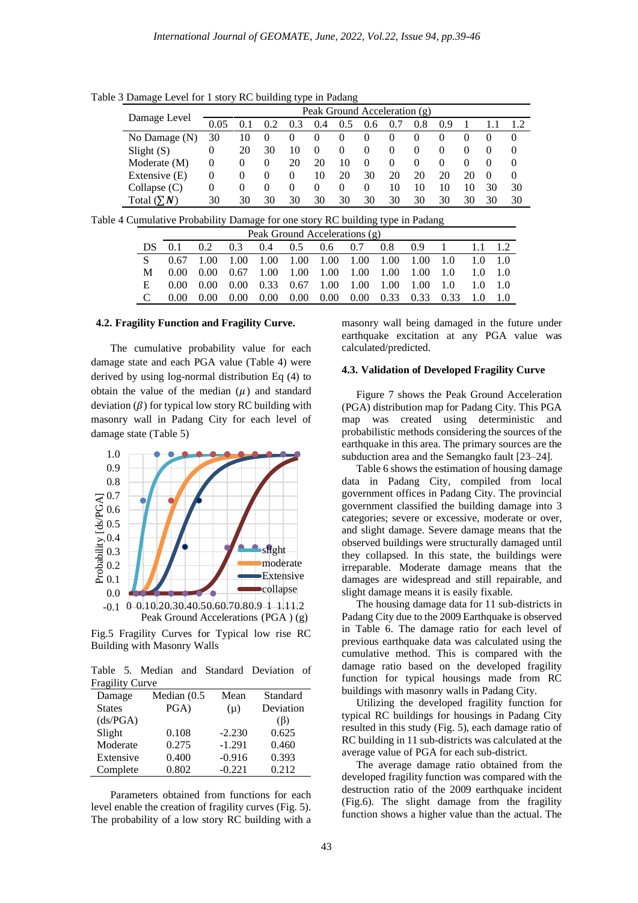Table 3 Damage Level for 1 story RC building type in Padang

|                  | Peak Ground Acceleration (g) |          |          |          |          |          |          |          |          |          |          |          |          |
|------------------|------------------------------|----------|----------|----------|----------|----------|----------|----------|----------|----------|----------|----------|----------|
| Damage Level     | 0.05                         |          |          | 0.3      | (0.4)    | 0.5      | 0.6      | 0.7      | 0.8      | 0.9      |          |          |          |
| No Damage (N)    | 30                           | 10       | $\theta$ | $\theta$ | $\theta$ | $\theta$ | $\theta$ | $\theta$ | $\theta$ |          | $\theta$ | $\theta$ | $\theta$ |
| Slight $(S)$     | 0                            | 20       | 30       | 10       | $\theta$ | $\theta$ | $\theta$ | $\theta$ | $\theta$ | $\theta$ | $\theta$ |          | $\theta$ |
| Moderate (M)     | 0                            | $\theta$ | $\theta$ | 20       | 20       | 10       | $\theta$ | $\theta$ | $\theta$ | $\theta$ | $\theta$ |          | $\theta$ |
| Extensive $(E)$  | $\theta$                     | $\theta$ | $\theta$ | $\theta$ | 10       | 20       | 30       | 20       | 20       | 20       | 20       | $\theta$ | $\Omega$ |
| Collapse $(C)$   | 0                            | $\theta$ | $\theta$ | $\theta$ | $\theta$ | $\Omega$ | $\theta$ | 10       | 10       | 10       | 10       | 30       | 30       |
| Total $(\sum N)$ | 30                           | 30       | 30       | 30       | 30       | 30       | 30       | 30       | 30       | 30       | 30       | 30       | 30       |

Table 4 Cumulative Probability Damage for one story RC building type in Padang

| Peak Ground Accelerations (g) |      |                                                                                                                              |      |                                            |  |  |  |  |  |  |  |  |
|-------------------------------|------|------------------------------------------------------------------------------------------------------------------------------|------|--------------------------------------------|--|--|--|--|--|--|--|--|
|                               | 0.1  | $0.2^{\circ}$                                                                                                                |      | 0.3 0.4 0.5 0.6 0.7 0.8 0.9 1 1.1 1.2      |  |  |  |  |  |  |  |  |
|                               |      |                                                                                                                              |      |                                            |  |  |  |  |  |  |  |  |
|                               |      |                                                                                                                              |      |                                            |  |  |  |  |  |  |  |  |
|                               |      | $0.00 \quad 0.00 \quad 0.00 \quad 0.33 \quad 0.67 \quad 1.00 \quad 1.00 \quad 1.00 \quad 1.00 \quad 1.0 \quad 1.0 \quad 1.0$ |      |                                            |  |  |  |  |  |  |  |  |
|                               | 0.00 | (0.00)                                                                                                                       | 0.00 | 0.00 0.00 0.00 0.00 0.33 0.33 0.33 1.0 1.0 |  |  |  |  |  |  |  |  |

#### **4.2. Fragility Function and Fragility Curve.**

The cumulative probability value for each damage state and each PGA value (Table 4) were derived by using log-normal distribution Eq (4) to obtain the value of the median  $(\mu)$  and standard deviation  $(\beta)$  for typical low story RC building with masonry wall in Padang City for each level of damage state (Table 5)



Fig.5 Fragility Curves for Typical low rise RC Building with Masonry Walls

Table 5. Median and Standard Deviation of Fragility Curve

| $\overline{\phantom{a}}$ |             |          |           |
|--------------------------|-------------|----------|-----------|
| Damage                   | Median (0.5 | Mean     | Standard  |
| <b>States</b>            | PGA)        | $(\mu)$  | Deviation |
| (ds/PGA)                 |             |          | $(\beta)$ |
| Slight                   | 0.108       | $-2.230$ | 0.625     |
| Moderate                 | 0.275       | $-1.291$ | 0.460     |
| Extensive                | 0.400       | $-0.916$ | 0.393     |
| Complete                 | 0.802       | $-0.221$ | 0.212     |

Parameters obtained from functions for each level enable the creation of fragility curves (Fig. 5). The probability of a low story RC building with a

masonry wall being damaged in the future under earthquake excitation at any PGA value was calculated/predicted.

## **4.3. Validation of Developed Fragility Curve**

Figure 7 shows the Peak Ground Acceleration (PGA) distribution map for Padang City. This PGA map was created using deterministic and probabilistic methods considering the sources of the earthquake in this area. The primary sources are the subduction area and the Semangko fault [23–24].

Table 6 shows the estimation of housing damage data in Padang City, compiled from local government offices in Padang City. The provincial government classified the building damage into 3 categories; severe or excessive, moderate or over, and slight damage. Severe damage means that the observed buildings were structurally damaged until they collapsed. In this state, the buildings were irreparable. Moderate damage means that the damages are widespread and still repairable, and slight damage means it is easily fixable.

The housing damage data for 11 sub-districts in Padang City due to the 2009 Earthquake is observed in Table 6. The damage ratio for each level of previous earthquake data was calculated using the cumulative method. This is compared with the damage ratio based on the developed fragility function for typical housings made from RC buildings with masonry walls in Padang City.

Utilizing the developed fragility function for typical RC buildings for housings in Padang City resulted in this study (Fig. 5), each damage ratio of RC building in 11 sub-districts was calculated at the average value of PGA for each sub-district.

The average damage ratio obtained from the developed fragility function was compared with the destruction ratio of the 2009 earthquake incident (Fig.6). The slight damage from the fragility function shows a higher value than the actual. The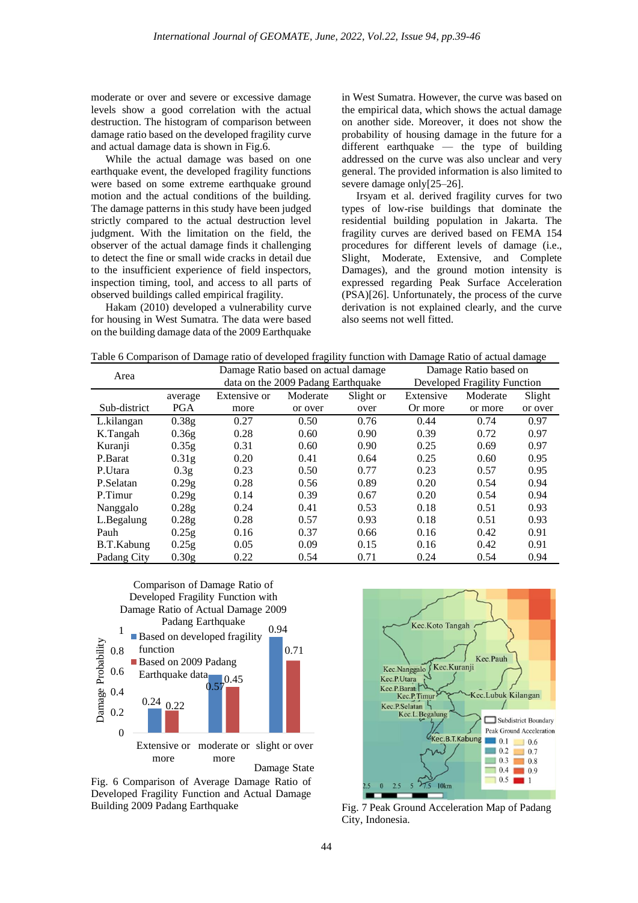moderate or over and severe or excessive damage levels show a good correlation with the actual destruction. The histogram of comparison between damage ratio based on the developed fragility curve and actual damage data is shown in Fig.6.

While the actual damage was based on one earthquake event, the developed fragility functions were based on some extreme earthquake ground motion and the actual conditions of the building. The damage patterns in this study have been judged strictly compared to the actual destruction level judgment. With the limitation on the field, the observer of the actual damage finds it challenging to detect the fine or small wide cracks in detail due to the insufficient experience of field inspectors, inspection timing, tool, and access to all parts of observed buildings called empirical fragility.

Hakam (2010) developed a vulnerability curve for housing in West Sumatra. The data were based on the building damage data of the 2009 Earthquake in West Sumatra. However, the curve was based on the empirical data, which shows the actual damage on another side. Moreover, it does not show the probability of housing damage in the future for a different earthquake — the type of building addressed on the curve was also unclear and very general. The provided information is also limited to severe damage only[25–26].

Irsyam et al. derived fragility curves for two types of low-rise buildings that dominate the residential building population in Jakarta. The fragility curves are derived based on FEMA 154 procedures for different levels of damage (i.e., Slight, Moderate, Extensive, and Complete Damages), and the ground motion intensity is expressed regarding Peak Surface Acceleration (PSA)[26]. Unfortunately, the process of the curve derivation is not explained clearly, and the curve also seems not well fitted.

Table 6 Comparison of Damage ratio of developed fragility function with Damage Ratio of actual damage

| Area         |                   | Damage Ratio based on actual damage |                                    | Damage Ratio based on |                              |          |         |  |
|--------------|-------------------|-------------------------------------|------------------------------------|-----------------------|------------------------------|----------|---------|--|
|              |                   |                                     | data on the 2009 Padang Earthquake |                       | Developed Fragility Function |          |         |  |
|              | average           | Extensive or                        | Moderate                           | Slight or             | Extensive                    | Moderate | Slight  |  |
| Sub-district | <b>PGA</b>        | more                                | or over                            | over                  | Or more                      | or more  | or over |  |
| L.kilangan   | 0.38g             | 0.27                                | 0.50                               | 0.76                  | 0.44                         | 0.74     | 0.97    |  |
| K.Tangah     | 0.36g             | 0.28                                | 0.60                               | 0.90                  | 0.39                         | 0.72     | 0.97    |  |
| Kuranji      | 0.35g             | 0.31                                | 0.60                               | 0.90                  | 0.25                         | 0.69     | 0.97    |  |
| P.Barat      | 0.31 <sub>g</sub> | 0.20                                | 0.41                               | 0.64                  | 0.25                         | 0.60     | 0.95    |  |
| P.Utara      | 0.3 <sub>g</sub>  | 0.23                                | 0.50                               | 0.77                  | 0.23                         | 0.57     | 0.95    |  |
| P.Selatan    | 0.29g             | 0.28                                | 0.56                               | 0.89                  | 0.20                         | 0.54     | 0.94    |  |
| P.Timur      | 0.29g             | 0.14                                | 0.39                               | 0.67                  | 0.20                         | 0.54     | 0.94    |  |
| Nanggalo     | 0.28g             | 0.24                                | 0.41                               | 0.53                  | 0.18                         | 0.51     | 0.93    |  |
| L.Begalung   | 0.28g             | 0.28                                | 0.57                               | 0.93                  | 0.18                         | 0.51     | 0.93    |  |
| Pauh         | 0.25g             | 0.16                                | 0.37                               | 0.66                  | 0.16                         | 0.42     | 0.91    |  |
| B.T.Kabung   | 0.25g             | 0.05                                | 0.09                               | 0.15                  | 0.16                         | 0.42     | 0.91    |  |
| Padang City  | 0.30 <sub>g</sub> | 0.22                                | 0.54                               | 0.71                  | 0.24                         | 0.54     | 0.94    |  |



Fig. 6 Comparison of Average Damage Ratio of Developed Fragility Function and Actual Damage Building 2009 Padang Earthquake



Fig. 7 Peak Ground Acceleration Map of Padang City, Indonesia.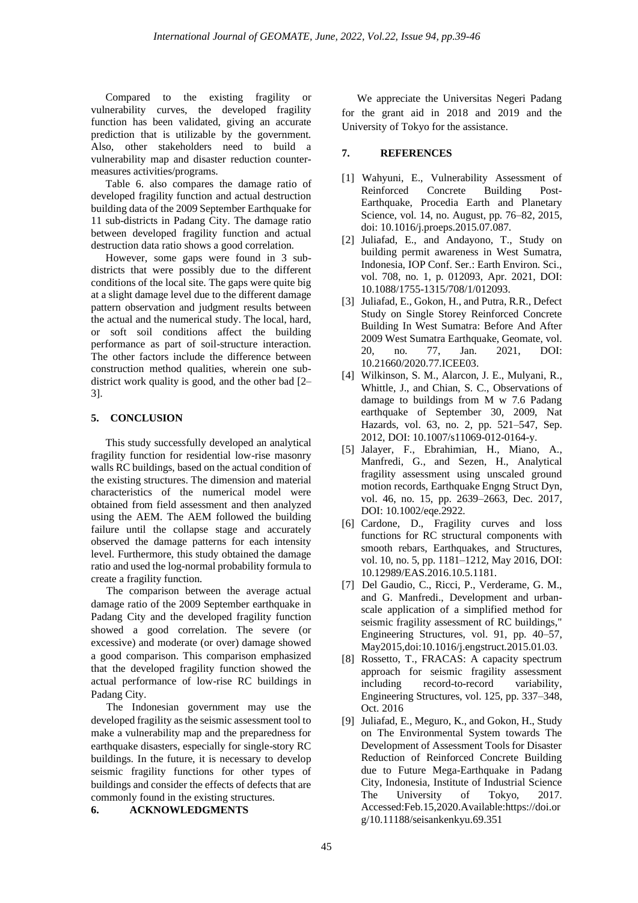Compared to the existing fragility or vulnerability curves, the developed fragility function has been validated, giving an accurate prediction that is utilizable by the government. Also, other stakeholders need to build a vulnerability map and disaster reduction countermeasures activities/programs.

Table 6. also compares the damage ratio of developed fragility function and actual destruction building data of the 2009 September Earthquake for 11 sub-districts in Padang City. The damage ratio between developed fragility function and actual destruction data ratio shows a good correlation.

However, some gaps were found in 3 subdistricts that were possibly due to the different conditions of the local site. The gaps were quite big at a slight damage level due to the different damage pattern observation and judgment results between the actual and the numerical study. The local, hard, or soft soil conditions affect the building performance as part of soil-structure interaction. The other factors include the difference between construction method qualities, wherein one subdistrict work quality is good, and the other bad [2– 3].

## **5. CONCLUSION**

This study successfully developed an analytical fragility function for residential low-rise masonry walls RC buildings, based on the actual condition of the existing structures. The dimension and material characteristics of the numerical model were obtained from field assessment and then analyzed using the AEM. The AEM followed the building failure until the collapse stage and accurately observed the damage patterns for each intensity level. Furthermore, this study obtained the damage ratio and used the log-normal probability formula to create a fragility function.

The comparison between the average actual damage ratio of the 2009 September earthquake in Padang City and the developed fragility function showed a good correlation. The severe (or excessive) and moderate (or over) damage showed a good comparison. This comparison emphasized that the developed fragility function showed the actual performance of low-rise RC buildings in Padang City.

The Indonesian government may use the developed fragility as the seismic assessment tool to make a vulnerability map and the preparedness for earthquake disasters, especially for single-story RC buildings. In the future, it is necessary to develop seismic fragility functions for other types of buildings and consider the effects of defects that are commonly found in the existing structures.

#### **6. ACKNOWLEDGMENTS**

We appreciate the Universitas Negeri Padang for the grant aid in 2018 and 2019 and the University of Tokyo for the assistance.

## **7. REFERENCES**

- [1] Wahyuni, E., Vulnerability Assessment of Reinforced Concrete Building Post-Earthquake, Procedia Earth and Planetary Science, vol. 14, no. August, pp. 76–82, 2015, doi: 10.1016/j.proeps.2015.07.087.
- [2] Juliafad, E., and Andayono, T., Study on building permit awareness in West Sumatra, Indonesia, IOP Conf. Ser.: Earth Environ. Sci., vol. 708, no. 1, p. 012093, Apr. 2021, DOI: 10.1088/1755-1315/708/1/012093.
- [3] Juliafad, E., Gokon, H., and Putra, R.R., Defect Study on Single Storey Reinforced Concrete Building In West Sumatra: Before And After 2009 West Sumatra Earthquake, Geomate, vol. 20, no. 77, Jan. 2021, DOI: 10.21660/2020.77.ICEE03.
- [4] Wilkinson, S. M., Alarcon, J. E., Mulyani, R., Whittle, J., and Chian, S. C., Observations of damage to buildings from M w 7.6 Padang earthquake of September 30, 2009, Nat Hazards, vol. 63, no. 2, pp. 521–547, Sep. 2012, DOI: 10.1007/s11069-012-0164-y.
- [5] Jalayer, F., Ebrahimian, H., Miano, A., Manfredi, G., and Sezen, H., Analytical fragility assessment using unscaled ground motion records, Earthquake Engng Struct Dyn, vol. 46, no. 15, pp. 2639–2663, Dec. 2017, DOI: 10.1002/eqe.2922.
- [6] Cardone, D., Fragility curves and loss functions for RC structural components with smooth rebars, Earthquakes, and Structures, vol. 10, no. 5, pp. 1181–1212, May 2016, DOI: 10.12989/EAS.2016.10.5.1181.
- [7] Del Gaudio, C., Ricci, P., Verderame, G. M., and G. Manfredi., Development and urbanscale application of a simplified method for seismic fragility assessment of RC buildings," Engineering Structures, vol. 91, pp. 40–57, May2015,doi:10.1016/j.engstruct.2015.01.03.
- [8] Rossetto, T., FRACAS: A capacity spectrum approach for seismic fragility assessment including record-to-record variability, Engineering Structures, vol. 125, pp. 337–348, Oct. 2016
- [9] Juliafad, E., Meguro, K., and Gokon, H., Study on The Environmental System towards The Development of Assessment Tools for Disaster Reduction of Reinforced Concrete Building due to Future Mega-Earthquake in Padang City, Indonesia, Institute of Industrial Science The University of Tokyo, 2017. Accessed:Feb.15,2020.Available:https://doi.or g/10.11188/seisankenkyu.69.351